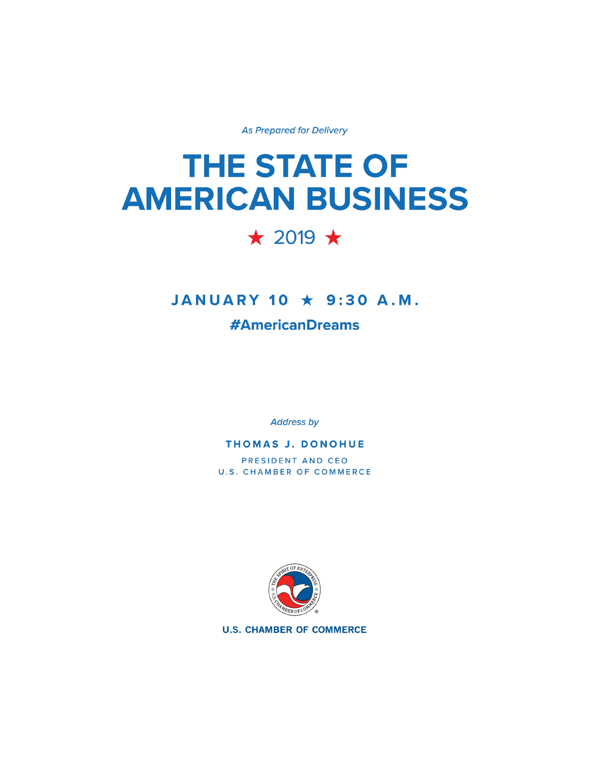**As Prepared for Delivery** 

# **THE STATE OF AMERICAN BUSINESS**

# $\star$  2019  $\star$

## JANUARY 10 \* 9:30 A.M.

### **#AmericanDreams**

**Address by** 

#### **THOMAS J. DONOHUE**

PRESIDENT AND CEO **U.S. CHAMBER OF COMMERCE** 



**U.S. CHAMBER OF COMMERCE**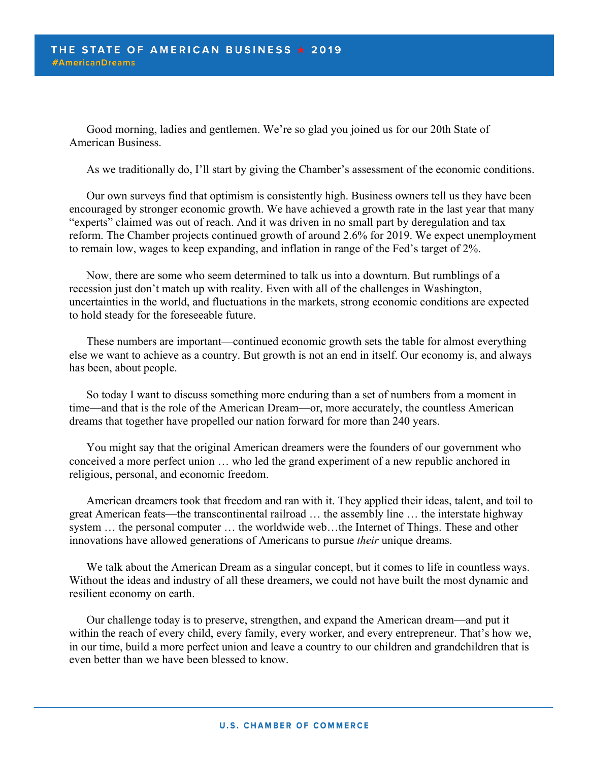Good morning, ladies and gentlemen. We're so glad you joined us for our 20th State of American Business.

As we traditionally do, I'll start by giving the Chamber's assessment of the economic conditions.

Our own surveys find that optimism is consistently high. Business owners tell us they have been encouraged by stronger economic growth. We have achieved a growth rate in the last year that many "experts" claimed was out of reach. And it was driven in no small part by deregulation and tax reform. The Chamber projects continued growth of around 2.6% for 2019. We expect unemployment to remain low, wages to keep expanding, and inflation in range of the Fed's target of 2%.

Now, there are some who seem determined to talk us into a downturn. But rumblings of a recession just don't match up with reality. Even with all of the challenges in Washington, uncertainties in the world, and fluctuations in the markets, strong economic conditions are expected to hold steady for the foreseeable future.

These numbers are important—continued economic growth sets the table for almost everything else we want to achieve as a country. But growth is not an end in itself. Our economy is, and always has been, about people.

So today I want to discuss something more enduring than a set of numbers from a moment in time—and that is the role of the American Dream—or, more accurately, the countless American dreams that together have propelled our nation forward for more than 240 years.

You might say that the original American dreamers were the founders of our government who conceived a more perfect union … who led the grand experiment of a new republic anchored in religious, personal, and economic freedom.

American dreamers took that freedom and ran with it. They applied their ideas, talent, and toil to great American feats—the transcontinental railroad … the assembly line … the interstate highway system … the personal computer … the worldwide web…the Internet of Things. These and other innovations have allowed generations of Americans to pursue *their* unique dreams.

We talk about the American Dream as a singular concept, but it comes to life in countless ways. Without the ideas and industry of all these dreamers, we could not have built the most dynamic and resilient economy on earth.

Our challenge today is to preserve, strengthen, and expand the American dream—and put it within the reach of every child, every family, every worker, and every entrepreneur. That's how we, in our time, build a more perfect union and leave a country to our children and grandchildren that is even better than we have been blessed to know.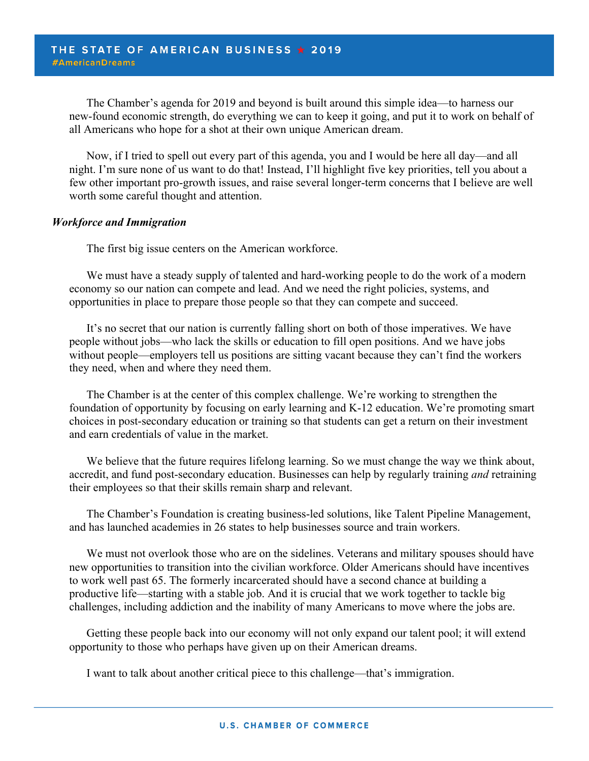The Chamber's agenda for 2019 and beyond is built around this simple idea—to harness our new-found economic strength, do everything we can to keep it going, and put it to work on behalf of all Americans who hope for a shot at their own unique American dream.

Now, if I tried to spell out every part of this agenda, you and I would be here all day—and all night. I'm sure none of us want to do that! Instead, I'll highlight five key priorities, tell you about a few other important pro-growth issues, and raise several longer-term concerns that I believe are well worth some careful thought and attention.

#### *Workforce and Immigration*

The first big issue centers on the American workforce.

We must have a steady supply of talented and hard-working people to do the work of a modern economy so our nation can compete and lead. And we need the right policies, systems, and opportunities in place to prepare those people so that they can compete and succeed.

It's no secret that our nation is currently falling short on both of those imperatives. We have people without jobs—who lack the skills or education to fill open positions. And we have jobs without people—employers tell us positions are sitting vacant because they can't find the workers they need, when and where they need them.

The Chamber is at the center of this complex challenge. We're working to strengthen the foundation of opportunity by focusing on early learning and K-12 education. We're promoting smart choices in post-secondary education or training so that students can get a return on their investment and earn credentials of value in the market.

We believe that the future requires lifelong learning. So we must change the way we think about, accredit, and fund post-secondary education. Businesses can help by regularly training *and* retraining their employees so that their skills remain sharp and relevant.

The Chamber's Foundation is creating business-led solutions, like Talent Pipeline Management, and has launched academies in 26 states to help businesses source and train workers.

We must not overlook those who are on the sidelines. Veterans and military spouses should have new opportunities to transition into the civilian workforce. Older Americans should have incentives to work well past 65. The formerly incarcerated should have a second chance at building a productive life—starting with a stable job. And it is crucial that we work together to tackle big challenges, including addiction and the inability of many Americans to move where the jobs are.

Getting these people back into our economy will not only expand our talent pool; it will extend opportunity to those who perhaps have given up on their American dreams.

I want to talk about another critical piece to this challenge—that's immigration.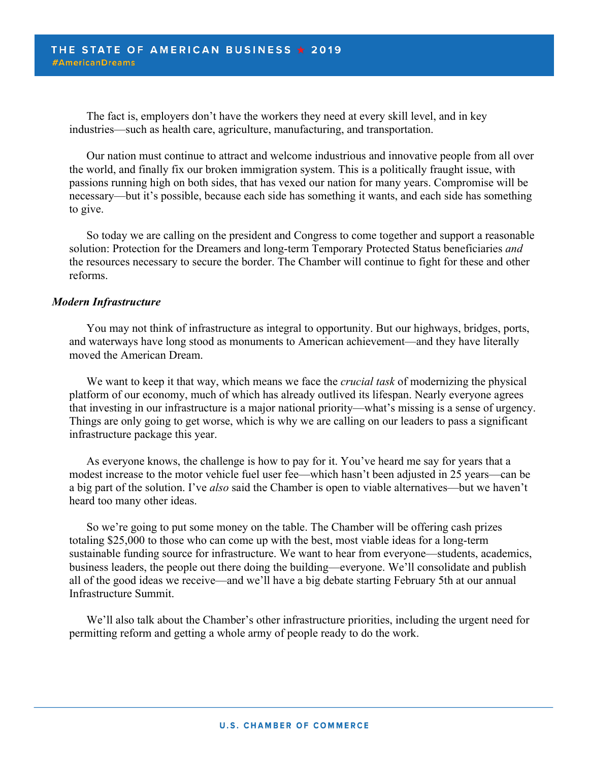The fact is, employers don't have the workers they need at every skill level, and in key industries—such as health care, agriculture, manufacturing, and transportation.

Our nation must continue to attract and welcome industrious and innovative people from all over the world, and finally fix our broken immigration system. This is a politically fraught issue, with passions running high on both sides, that has vexed our nation for many years. Compromise will be necessary—but it's possible, because each side has something it wants, and each side has something to give.

So today we are calling on the president and Congress to come together and support a reasonable solution: Protection for the Dreamers and long-term Temporary Protected Status beneficiaries *and* the resources necessary to secure the border. The Chamber will continue to fight for these and other reforms.

#### *Modern Infrastructure*

You may not think of infrastructure as integral to opportunity. But our highways, bridges, ports, and waterways have long stood as monuments to American achievement—and they have literally moved the American Dream.

We want to keep it that way, which means we face the *crucial task* of modernizing the physical platform of our economy, much of which has already outlived its lifespan. Nearly everyone agrees that investing in our infrastructure is a major national priority—what's missing is a sense of urgency. Things are only going to get worse, which is why we are calling on our leaders to pass a significant infrastructure package this year.

As everyone knows, the challenge is how to pay for it. You've heard me say for years that a modest increase to the motor vehicle fuel user fee—which hasn't been adjusted in 25 years—can be a big part of the solution. I've *also* said the Chamber is open to viable alternatives—but we haven't heard too many other ideas.

So we're going to put some money on the table. The Chamber will be offering cash prizes totaling \$25,000 to those who can come up with the best, most viable ideas for a long-term sustainable funding source for infrastructure. We want to hear from everyone—students, academics, business leaders, the people out there doing the building—everyone. We'll consolidate and publish all of the good ideas we receive—and we'll have a big debate starting February 5th at our annual Infrastructure Summit.

We'll also talk about the Chamber's other infrastructure priorities, including the urgent need for permitting reform and getting a whole army of people ready to do the work.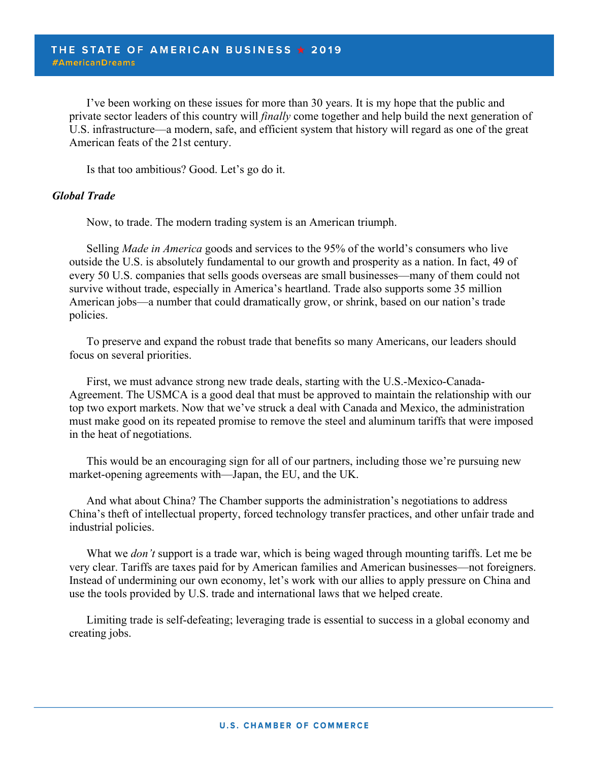I've been working on these issues for more than 30 years. It is my hope that the public and private sector leaders of this country will *finally* come together and help build the next generation of U.S. infrastructure—a modern, safe, and efficient system that history will regard as one of the great American feats of the 21st century.

Is that too ambitious? Good. Let's go do it.

#### *Global Trade*

Now, to trade. The modern trading system is an American triumph.

Selling *Made in America* goods and services to the 95% of the world's consumers who live outside the U.S. is absolutely fundamental to our growth and prosperity as a nation. In fact, 49 of every 50 U.S. companies that sells goods overseas are small businesses—many of them could not survive without trade, especially in America's heartland. Trade also supports some 35 million American jobs—a number that could dramatically grow, or shrink, based on our nation's trade policies.

To preserve and expand the robust trade that benefits so many Americans, our leaders should focus on several priorities.

First, we must advance strong new trade deals, starting with the U.S.-Mexico-Canada-Agreement. The USMCA is a good deal that must be approved to maintain the relationship with our top two export markets. Now that we've struck a deal with Canada and Mexico, the administration must make good on its repeated promise to remove the steel and aluminum tariffs that were imposed in the heat of negotiations.

This would be an encouraging sign for all of our partners, including those we're pursuing new market-opening agreements with—Japan, the EU, and the UK.

And what about China? The Chamber supports the administration's negotiations to address China's theft of intellectual property, forced technology transfer practices, and other unfair trade and industrial policies.

What we *don't* support is a trade war, which is being waged through mounting tariffs. Let me be very clear. Tariffs are taxes paid for by American families and American businesses—not foreigners. Instead of undermining our own economy, let's work with our allies to apply pressure on China and use the tools provided by U.S. trade and international laws that we helped create.

Limiting trade is self-defeating; leveraging trade is essential to success in a global economy and creating jobs.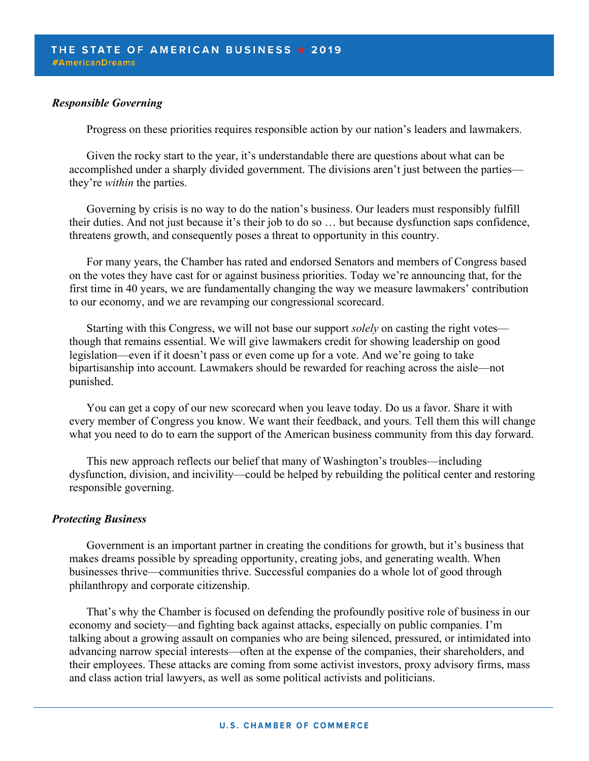#### *Responsible Governing*

Progress on these priorities requires responsible action by our nation's leaders and lawmakers.

Given the rocky start to the year, it's understandable there are questions about what can be accomplished under a sharply divided government. The divisions aren't just between the parties they're *within* the parties.

Governing by crisis is no way to do the nation's business. Our leaders must responsibly fulfill their duties. And not just because it's their job to do so … but because dysfunction saps confidence, threatens growth, and consequently poses a threat to opportunity in this country.

For many years, the Chamber has rated and endorsed Senators and members of Congress based on the votes they have cast for or against business priorities. Today we're announcing that, for the first time in 40 years, we are fundamentally changing the way we measure lawmakers' contribution to our economy, and we are revamping our congressional scorecard.

Starting with this Congress, we will not base our support *solely* on casting the right votes though that remains essential. We will give lawmakers credit for showing leadership on good legislation—even if it doesn't pass or even come up for a vote. And we're going to take bipartisanship into account. Lawmakers should be rewarded for reaching across the aisle—not punished.

You can get a copy of our new scorecard when you leave today. Do us a favor. Share it with every member of Congress you know. We want their feedback, and yours. Tell them this will change what you need to do to earn the support of the American business community from this day forward.

This new approach reflects our belief that many of Washington's troubles—including dysfunction, division, and incivility—could be helped by rebuilding the political center and restoring responsible governing.

#### *Protecting Business*

Government is an important partner in creating the conditions for growth, but it's business that makes dreams possible by spreading opportunity, creating jobs, and generating wealth. When businesses thrive—communities thrive. Successful companies do a whole lot of good through philanthropy and corporate citizenship.

That's why the Chamber is focused on defending the profoundly positive role of business in our economy and society—and fighting back against attacks, especially on public companies. I'm talking about a growing assault on companies who are being silenced, pressured, or intimidated into advancing narrow special interests—often at the expense of the companies, their shareholders, and their employees. These attacks are coming from some activist investors, proxy advisory firms, mass and class action trial lawyers, as well as some political activists and politicians.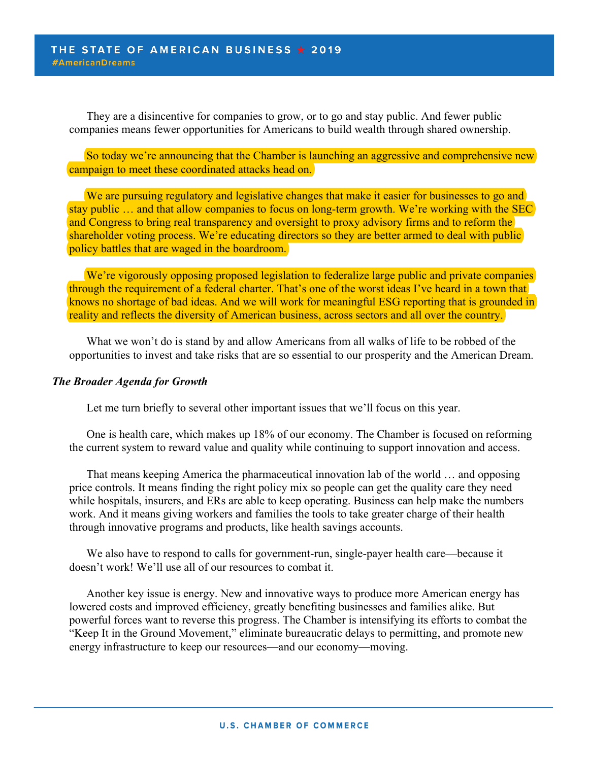They are a disincentive for companies to grow, or to go and stay public. And fewer public companies means fewer opportunities for Americans to build wealth through shared ownership.

So today we're announcing that the Chamber is launching an aggressive and comprehensive new campaign to meet these coordinated attacks head on.

We are pursuing regulatory and legislative changes that make it easier for businesses to go and stay public … and that allow companies to focus on long-term growth. We're working with the SEC and Congress to bring real transparency and oversight to proxy advisory firms and to reform the shareholder voting process. We're educating directors so they are better armed to deal with public policy battles that are waged in the boardroom.

We're vigorously opposing proposed legislation to federalize large public and private companies through the requirement of a federal charter. That's one of the worst ideas I've heard in a town that knows no shortage of bad ideas. And we will work for meaningful ESG reporting that is grounded in reality and reflects the diversity of American business, across sectors and all over the country.

What we won't do is stand by and allow Americans from all walks of life to be robbed of the opportunities to invest and take risks that are so essential to our prosperity and the American Dream.

#### *The Broader Agenda for Growth*

Let me turn briefly to several other important issues that we'll focus on this year.

One is health care, which makes up 18% of our economy. The Chamber is focused on reforming the current system to reward value and quality while continuing to support innovation and access.

That means keeping America the pharmaceutical innovation lab of the world … and opposing price controls. It means finding the right policy mix so people can get the quality care they need while hospitals, insurers, and ERs are able to keep operating. Business can help make the numbers work. And it means giving workers and families the tools to take greater charge of their health through innovative programs and products, like health savings accounts.

We also have to respond to calls for government-run, single-payer health care—because it doesn't work! We'll use all of our resources to combat it.

Another key issue is energy. New and innovative ways to produce more American energy has lowered costs and improved efficiency, greatly benefiting businesses and families alike. But powerful forces want to reverse this progress. The Chamber is intensifying its efforts to combat the "Keep It in the Ground Movement," eliminate bureaucratic delays to permitting, and promote new energy infrastructure to keep our resources—and our economy—moving.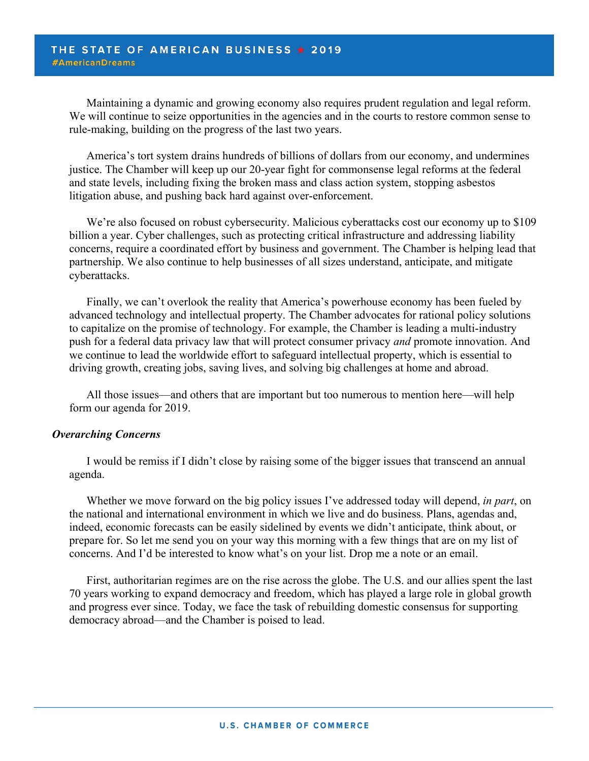Maintaining a dynamic and growing economy also requires prudent regulation and legal reform. We will continue to seize opportunities in the agencies and in the courts to restore common sense to rule-making, building on the progress of the last two years.

America's tort system drains hundreds of billions of dollars from our economy, and undermines justice. The Chamber will keep up our 20-year fight for commonsense legal reforms at the federal and state levels, including fixing the broken mass and class action system, stopping asbestos litigation abuse, and pushing back hard against over-enforcement.

We're also focused on robust cybersecurity. Malicious cyberattacks cost our economy up to \$109 billion a year. Cyber challenges, such as protecting critical infrastructure and addressing liability concerns, require a coordinated effort by business and government. The Chamber is helping lead that partnership. We also continue to help businesses of all sizes understand, anticipate, and mitigate cyberattacks.

Finally, we can't overlook the reality that America's powerhouse economy has been fueled by advanced technology and intellectual property. The Chamber advocates for rational policy solutions to capitalize on the promise of technology. For example, the Chamber is leading a multi-industry push for a federal data privacy law that will protect consumer privacy *and* promote innovation. And we continue to lead the worldwide effort to safeguard intellectual property, which is essential to driving growth, creating jobs, saving lives, and solving big challenges at home and abroad.

All those issues—and others that are important but too numerous to mention here—will help form our agenda for 2019.

#### *Overarching Concerns*

I would be remiss if I didn't close by raising some of the bigger issues that transcend an annual agenda.

Whether we move forward on the big policy issues I've addressed today will depend, *in part*, on the national and international environment in which we live and do business. Plans, agendas and, indeed, economic forecasts can be easily sidelined by events we didn't anticipate, think about, or prepare for. So let me send you on your way this morning with a few things that are on my list of concerns. And I'd be interested to know what's on your list. Drop me a note or an email.

First, authoritarian regimes are on the rise across the globe. The U.S. and our allies spent the last 70 years working to expand democracy and freedom, which has played a large role in global growth and progress ever since. Today, we face the task of rebuilding domestic consensus for supporting democracy abroad—and the Chamber is poised to lead.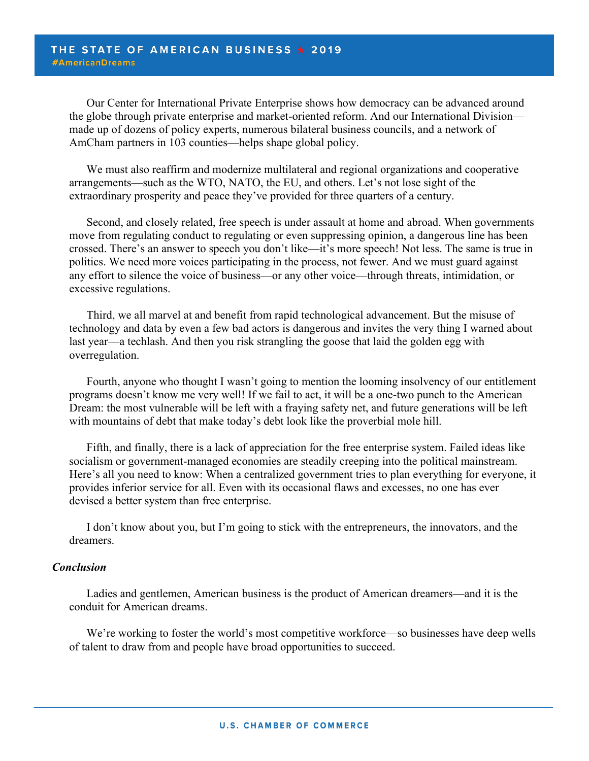Our Center for International Private Enterprise shows how democracy can be advanced around the globe through private enterprise and market-oriented reform. And our International Division made up of dozens of policy experts, numerous bilateral business councils, and a network of AmCham partners in 103 counties—helps shape global policy.

We must also reaffirm and modernize multilateral and regional organizations and cooperative arrangements—such as the WTO, NATO, the EU, and others. Let's not lose sight of the extraordinary prosperity and peace they've provided for three quarters of a century.

Second, and closely related, free speech is under assault at home and abroad. When governments move from regulating conduct to regulating or even suppressing opinion, a dangerous line has been crossed. There's an answer to speech you don't like—it's more speech! Not less. The same is true in politics. We need more voices participating in the process, not fewer. And we must guard against any effort to silence the voice of business—or any other voice—through threats, intimidation, or excessive regulations.

Third, we all marvel at and benefit from rapid technological advancement. But the misuse of technology and data by even a few bad actors is dangerous and invites the very thing I warned about last year—a techlash. And then you risk strangling the goose that laid the golden egg with overregulation.

Fourth, anyone who thought I wasn't going to mention the looming insolvency of our entitlement programs doesn't know me very well! If we fail to act, it will be a one-two punch to the American Dream: the most vulnerable will be left with a fraying safety net, and future generations will be left with mountains of debt that make today's debt look like the proverbial mole hill.

Fifth, and finally, there is a lack of appreciation for the free enterprise system. Failed ideas like socialism or government-managed economies are steadily creeping into the political mainstream. Here's all you need to know: When a centralized government tries to plan everything for everyone, it provides inferior service for all. Even with its occasional flaws and excesses, no one has ever devised a better system than free enterprise.

I don't know about you, but I'm going to stick with the entrepreneurs, the innovators, and the dreamers.

#### *Conclusion*

Ladies and gentlemen, American business is the product of American dreamers—and it is the conduit for American dreams.

We're working to foster the world's most competitive workforce—so businesses have deep wells of talent to draw from and people have broad opportunities to succeed.